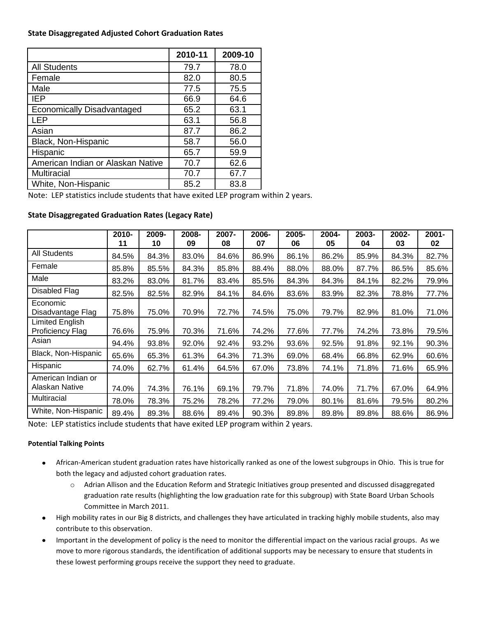## **State Disaggregated Adjusted Cohort Graduation Rates**

|                                   | 2010-11 | 2009-10 |
|-----------------------------------|---------|---------|
| <b>All Students</b>               | 79.7    | 78.0    |
| Female                            | 82.0    | 80.5    |
| Male                              | 77.5    | 75.5    |
| <b>IEP</b>                        | 66.9    | 64.6    |
| <b>Economically Disadvantaged</b> | 65.2    | 63.1    |
| <b>LEP</b>                        | 63.1    | 56.8    |
| Asian                             | 87.7    | 86.2    |
| Black, Non-Hispanic               | 58.7    | 56.0    |
| Hispanic                          | 65.7    | 59.9    |
| American Indian or Alaskan Native | 70.7    | 62.6    |
| <b>Multiracial</b>                | 70.7    | 67.7    |
| White, Non-Hispanic               | 85.2    | 83.8    |

Note: LEP statistics include students that have exited LEP program within 2 years.

|                                                   | 2010-<br>11 | 2009-<br>10 | 2008-<br>09 | 2007-<br>08 | 2006-<br>07 | 2005-<br>06 | 2004-<br>05 | 2003-<br>04 | 2002-<br>03 | $2001 -$<br>02 |
|---------------------------------------------------|-------------|-------------|-------------|-------------|-------------|-------------|-------------|-------------|-------------|----------------|
| <b>All Students</b>                               | 84.5%       | 84.3%       | 83.0%       | 84.6%       | 86.9%       | 86.1%       | 86.2%       | 85.9%       | 84.3%       | 82.7%          |
| Female                                            | 85.8%       | 85.5%       | 84.3%       | 85.8%       | 88.4%       | 88.0%       | 88.0%       | 87.7%       | 86.5%       | 85.6%          |
| Male                                              | 83.2%       | 83.0%       | 81.7%       | 83.4%       | 85.5%       | 84.3%       | 84.3%       | 84.1%       | 82.2%       | 79.9%          |
| Disabled Flag                                     | 82.5%       | 82.5%       | 82.9%       | 84.1%       | 84.6%       | 83.6%       | 83.9%       | 82.3%       | 78.8%       | 77.7%          |
| Economic<br>Disadvantage Flag                     | 75.8%       | 75.0%       | 70.9%       | 72.7%       | 74.5%       | 75.0%       | 79.7%       | 82.9%       | 81.0%       | 71.0%          |
| <b>Limited English</b><br><b>Proficiency Flag</b> | 76.6%       | 75.9%       | 70.3%       | 71.6%       | 74.2%       | 77.6%       | 77.7%       | 74.2%       | 73.8%       | 79.5%          |
| Asian                                             | 94.4%       | 93.8%       | 92.0%       | 92.4%       | 93.2%       | 93.6%       | 92.5%       | 91.8%       | 92.1%       | 90.3%          |
| Black, Non-Hispanic                               | 65.6%       | 65.3%       | 61.3%       | 64.3%       | 71.3%       | 69.0%       | 68.4%       | 66.8%       | 62.9%       | 60.6%          |
| Hispanic                                          | 74.0%       | 62.7%       | 61.4%       | 64.5%       | 67.0%       | 73.8%       | 74.1%       | 71.8%       | 71.6%       | 65.9%          |
| American Indian or<br>Alaskan Native              | 74.0%       | 74.3%       | 76.1%       | 69.1%       | 79.7%       | 71.8%       | 74.0%       | 71.7%       | 67.0%       | 64.9%          |
| Multiracial                                       | 78.0%       | 78.3%       | 75.2%       | 78.2%       | 77.2%       | 79.0%       | 80.1%       | 81.6%       | 79.5%       | 80.2%          |
| White, Non-Hispanic                               | 89.4%       | 89.3%       | 88.6%       | 89.4%       | 90.3%       | 89.8%       | 89.8%       | 89.8%       | 88.6%       | 86.9%          |

## **State Disaggregated Graduation Rates (Legacy Rate)**

Note: LEP statistics include students that have exited LEP program within 2 years.

## **Potential Talking Points**

- African-American student graduation rates have historically ranked as one of the lowest subgroups in Ohio. This is true for both the legacy and adjusted cohort graduation rates.
	- o Adrian Allison and the Education Reform and Strategic Initiatives group presented and discussed disaggregated graduation rate results (highlighting the low graduation rate for this subgroup) with State Board Urban Schools Committee in March 2011.
- High mobility rates in our Big 8 districts, and challenges they have articulated in tracking highly mobile students, also may contribute to this observation.
- Important in the development of policy is the need to monitor the differential impact on the various racial groups. As we move to more rigorous standards, the identification of additional supports may be necessary to ensure that students in these lowest performing groups receive the support they need to graduate.